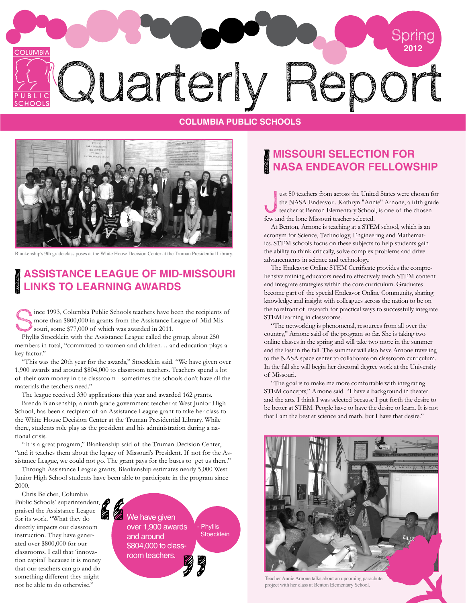

#### **COLUMBIA PUBLIC SCHOOLS**



Blankenship's 9th grade class poses at the White House Decision Center at the Truman Presidential Library.

## **Assistance League of Mid-Missouri Links to Learning Awards**

Since 1993, Columbia Public Schools teachers have been the recipients of more than \$800,000 in grants from the Assistance League of Mid-Missouri, some \$77,000 of which was awarded in 2011. more than \$800,000 in grants from the Assistance League of Mid-Missouri, some \$77,000 of which was awarded in 2011.

Phyllis Stoecklein with the Assistance League called the group, about 250 members in total, "committed to women and children… and education plays a key factor."

"This was the 20th year for the awards," Stoecklein said. "We have given over 1,900 awards and around \$804,000 to classroom teachers. Teachers spend a lot of their own money in the classroom - sometimes the schools don't have all the materials the teachers need."

The league received 330 applications this year and awarded 162 grants.

Brenda Blankenship, a ninth grade government teacher at West Junior High School, has been a recipient of an Assistance League grant to take her class to the White House Decision Center at the Truman Presidential Library. While there, students role play as the president and his administration during a national crisis.

"It is a great program," Blankenship said of the Truman Decision Center, "and it teaches them about the legacy of Missouri's President. If not for the Assistance League, we could not go. The grant pays for the buses to get us there."

Through Assistance League grants, Blankenship estimates nearly 5,000 West Junior High School students have been able to participate in the program since 2000.

Chris Belcher, Columbia Public Schools' superintendent, praised the Assistance League for its work. "What they do directly impacts our classroom instruction. They have generated over \$800,000 for our classrooms. I call that 'innovation capital' because it is money that our teachers can go and do something different they might not be able to do otherwise."

We have given over 1,900 awards and around \$804,000 to classroom teachers. **Phyllis Stoecklein** 

## **MISSOURI SELECTION FOR NASA ENDEAVOR FELLOWSHIP**

J ust 50 teachers from across the United States were chosen for the NASA Endeavor . Kathryn "Annie" Arnone, a fifth grade teacher at Benton Elementary School, is one of the chosen few and the lone Missouri teacher selected.

At Benton, Arnone is teaching at a STEM school, which is an acronym for Science, Technology, Engineering and Mathematics. STEM schools focus on these subjects to help students gain the ability to think critically, solve complex problems and drive advancements in science and technology.

The Endeavor Online STEM Certificate provides the comprehensive training educators need to effectively teach STEM content and integrate strategies within the core curriculum. Graduates become part of the special Endeavor Online Community, sharing knowledge and insight with colleagues across the nation to be on the forefront of research for practical ways to successfully integrate STEM learning in classrooms.

"The networking is phenomenal, resources from all over the country," Arnone said of the program so far. She is taking two online classes in the spring and will take two more in the summer and the last in the fall. The summer will also have Arnone traveling to the NASA space center to collaborate on classroom curriculum. In the fall she will begin her doctoral degree work at the University of Missouri.

"The goal is to make me more comfortable with integrating STEM concepts," Arnone said. "I have a background in theater and the arts. I think I was selected because I put forth the desire to be better at STEM. People have to have the desire to learn. It is not that I am the best at science and math, but I have that desire."



Teacher Annie Arnone talks about an upcoming parachute project with her class at Benton Elementary School.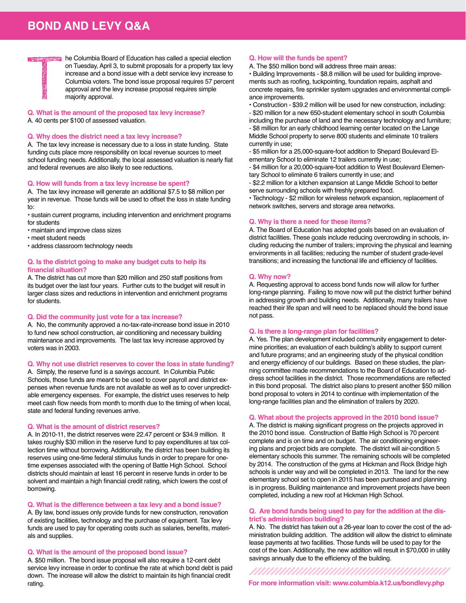# **BOND AND LEVY Q&A**



**Q. What is the amount of the proposed tax levy increase?** A. 40 cents per \$100 of assessed valuation.

#### **Q. Why does the district need a tax levy increase?**

A. The tax levy increase is necessary due to a loss in state funding. State funding cuts place more responsibility on local revenue sources to meet school funding needs. Additionally, the local assessed valuation is nearly flat and federal revenues are also likely to see reductions.

#### **Q. How will funds from a tax levy increase be spent?**

A. The tax levy increase will generate an additional \$7.5 to \$8 million per year in revenue. Those funds will be used to offset the loss in state funding to:

• sustain current programs, including intervention and enrichment programs for students

• maintain and improve class sizes

- meet student needs
- address classroom technology needs

#### **Q. Is the district going to make any budget cuts to help its financial situation?**

A. The district has cut more than \$20 million and 250 staff positions from its budget over the last four years. Further cuts to the budget will result in larger class sizes and reductions in intervention and enrichment programs for students.

#### **Q. Did the community just vote for a tax increase?**

A. No, the community approved a no-tax-rate-increase bond issue in 2010 to fund new school construction, air conditioning and necessary building maintenance and improvements. The last tax levy increase approved by voters was in 2003.

#### **Q. Why not use district reserves to cover the loss in state funding?**

A. Simply, the reserve fund is a savings account. In Columbia Public Schools, those funds are meant to be used to cover payroll and district expenses when revenue funds are not available as well as to cover unpredictable emergency expenses. For example, the district uses reserves to help meet cash flow needs from month to month due to the timing of when local, state and federal funding revenues arrive.

#### **Q. What is the amount of district reserves?**

A. In 2010-11, the district reserves were 22.47 percent or \$34.9 million. It takes roughly \$30 million in the reserve fund to pay expenditures at tax collection time without borrowing. Additionally, the district has been building its reserves using one-time federal stimulus funds in order to prepare for onetime expenses associated with the opening of Battle High School. School districts should maintain at least 16 percent in reserve funds in order to be solvent and maintain a high financial credit rating, which lowers the cost of borrowing.

#### **Q. What is the difference between a tax levy and a bond issue?**

A. By law, bond issues only provide funds for new construction, renovation of existing facilities, technology and the purchase of equipment. Tax levy funds are used to pay for operating costs such as salaries, benefits, materials and supplies.

#### **Q. What is the amount of the proposed bond issue?**

A. \$50 million. The bond issue proposal will also require a 12-cent debt service levy increase in order to continue the rate at which bond debt is paid down. The increase will allow the district to maintain its high financial credit rating.

#### **Q. How will the funds be spent?**

A. The \$50 million bond will address three main areas:

• Building Improvements - \$8.8 million will be used for building improvements such as roofing, tuckpointing, foundation repairs, asphalt and concrete repairs, fire sprinkler system upgrades and environmental compliance improvements.

• Construction - \$39.2 million will be used for new construction, including:

- \$20 million for a new 650-student elementary school in south Columbia

including the purchase of land and the necessary technology and furniture; - \$8 million for an early childhood learning center located on the Lange Middle School property to serve 800 students and eliminate 10 trailers currently in use;

- \$5 million for a 25,000-square-foot addition to Shepard Boulevard Elementary School to eliminate 12 trailers currently in use;

- \$4 million for a 20,000-square-foot addition to West Boulevard Elementary School to eliminate 6 trailers currently in use; and

- \$2.2 million for a kitchen expansion at Lange Middle School to better serve surrounding schools with freshly prepared food.

• Technology - \$2 million for wireless network expansion, replacement of network switches, servers and storage area networks.

#### **Q. Why is there a need for these items?**

A. The Board of Education has adopted goals based on an evaluation of district facilities. These goals include reducing overcrowding in schools, including reducing the number of trailers; improving the physical and learning environments in all facilities; reducing the number of student grade-level transitions; and increasing the functional life and efficiency of facilities.

#### **Q. Why now?**

A. Requesting approval to access bond funds now will allow for further long-range planning. Failing to move now will put the district further behind in addressing growth and building needs. Additionally, many trailers have reached their life span and will need to be replaced should the bond issue not pass.

#### **Q. Is there a long-range plan for facilities?**

A. Yes. The plan development included community engagement to determine priorities; an evaluation of each building's ability to support current and future programs; and an engineering study of the physical condition and energy efficiency of our buildings. Based on these studies, the planning committee made recommendations to the Board of Education to address school facilities in the district. Those recommendations are reflected in this bond proposal. The district also plans to present another \$50 million bond proposal to voters in 2014 to continue with implementation of the long-range facilities plan and the elimination of trailers by 2020.

#### **Q. What about the projects approved in the 2010 bond issue?**

A. The district is making significant progress on the projects approved in the 2010 bond issue. Construction of Battle High School is 70 percent complete and is on time and on budget. The air conditioning engineering plans and project bids are complete. The district will air-condition 5 elementary schools this summer. The remaining schools will be completed by 2014. The construction of the gyms at Hickman and Rock Bridge high schools is under way and will be completed in 2013. The land for the new elementary school set to open in 2015 has been purchased and planning is in progress. Building maintenance and improvement projects have been completed, including a new roof at Hickman High School.

#### **Q. Are bond funds being used to pay for the addition at the district's administration building?**

A. No. The district has taken out a 26-year loan to cover the cost of the administration building addition. The addition will allow the district to eliminate lease payments at two facilities. Those funds will be used to pay for the cost of the loan. Additionally, the new addition will result in \$70,000 in utility savings annually due to the efficiency of the building.

**For more information visit: www.columbia.k12.us/bondlevy.php**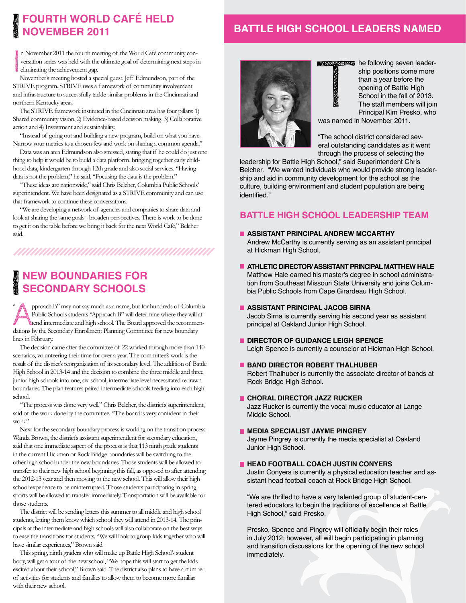# **Fourth World cafÉ held november 2011**

## **BATTLE HIGH SCHOOL LEADERS NAMED**

**BASE OF BEER** 

**Index Communication** n November 2011 the fourth meeting of the World Café community conversation series was held with the ultimate goal of determining next steps in eliminating the achievement gap.

November's meeting hosted a special guest, Jeff Edmundson, part of the STRIVE program. STRIVE uses a framework of community involvement and infrastructure to successfully tackle similar problems in the Cincinnati and northern Kentucky areas.

The STRIVE framework instituted in the Cincinnati area has four pillars: 1) Shared community vision, 2) Evidence-based decision making, 3) Collaborative action and 4) Investment and sustainability.

"Instead of going out and building a new program, build on what you have. Narrow your metrics to a chosen few and work on sharing a common agenda."

Data was an area Edmundson also stressed, stating that if he could do just one thing to help it would be to build a data platform, bringing together early childhood data, kindergarten through 12th grade and also social services. "Having data is not the problem," he said. "Focusing the data is the problem."

"These ideas are nationwide," said Chris Belcher, Columbia Public Schools' superintendent. We have been designated as a STRIVE community and can use that framework to continue these conversations.

"We are developing a network of agencies and companies to share data and look at sharing the same goals - broaden perspectives. There is work to be done to get it on the table before we bring it back for the next World Café," Belcher said.

# **New Boundaries for Secondary Schools**

Pproach B" may not say much as a name, but for hundreds of Columbia<br>Public Schools students "Approach B" will determine where they will at-<br>the distribution of high school. The Board approved the recommen-Public Schools students "Approach B" will determine where they will attend intermediate and high school. The Board approved the recommendations by the Secondary Enrollment Planning Committee for new boundary lines in February.  $\ddot{\phantom{0}}$ 

The decision came after the committee of 22 worked through more than 140 scenarios, volunteering their time for over a year. The committee's work is the result of the district's reorganization of its secondary level. The addition of Battle High School in 2013-14 and the decision to combine the three middle and three junior high schools into one, six-school, intermediate level necessitated redrawn boundaries. The plan features paired intermediate schools feeding into each high school.

"The process was done very well," Chris Belcher, the district's superintendent, said of the work done by the committee. "The board is very confident in their work."

Next for the secondary boundary process is working on the transition process. Wanda Brown, the district's assistant superintendent for secondary education, said that one immediate aspect of the process is that 113 ninth grade students in the current Hickman or Rock Bridge boundaries will be switching to the other high school under the new boundaries. Those students will be allowed to transfer to their new high school beginning this fall, as opposed to after attending the 2012-13 year and then moving to the new school. This will allow their high school experience to be uninterrupted. Those students participating in spring sports will be allowed to transfer immediately. Transportation will be available for those students.

The district will be sending letters this summer to all middle and high school students, letting them know which school they will attend in 2013-14. The principals at the intermediate and high schools will also collaborate on the best ways to ease the transitions for students. "We will look to group kids together who will have similar experiences," Brown said.

This spring, ninth graders who will make up Battle High School's student body, will get a tour of the new school, "We hope this will start to get the kids excited about their school," Brown said. The district also plans to have a number of activities for students and families to allow them to become more familiar with their new school.



he following seven leadernavas ship positions come more than a year before the opening of Battle High School in the fall of 2013. The staff members will join Principal Kim Presko, who

was named in November 2011.

"The school district considered several outstanding candidates as it went through the process of selecting the

leadership for Battle High School," said Superintendent Chris Belcher. "We wanted individuals who would provide strong leadership and aid in community development for the school as the culture, building environment and student population are being identified."

#### **Battle High School Leadership Team**

- **Assistant Principal Andrew McCarthy** Andrew McCarthy is currently serving as an assistant principal at Hickman High School.
- **ATHLETIC DIRECTOR/ ASSISTANT PRINCIPAL MATTHEW HALE** Matthew Hale earned his master's degree in school administration from Southeast Missouri State University and joins Columbia Public Schools from Cape Girardeau High School.
- **Assistant Principal JACOB SIRNA**

Jacob Sirna is currently serving his second year as assistant principal at Oakland Junior High School.

- **Director of Guidance Leigh Spence** Leigh Spence is currently a counselor at Hickman High School.
- **BAND DIRECTOR ROBERT THALHUBER**

Robert Thalhuber is currently the associate director of bands at Rock Bridge High School.

**Choral Director Jazz Rucker**

Jazz Rucker is currently the vocal music educator at Lange Middle School.

**Media Specialist Jayme Pingrey**

Jayme Pingrey is currently the media specialist at Oakland Junior High School.

#### **Head Football Coach Justin Conyers**

Justin Conyers is currently a physical education teacher and assistant head football coach at Rock Bridge High School.

"We are thrilled to have a very talented group of student-centered educators to begin the traditions of excellence at Battle High School," said Presko.

Presko, Spence and Pingrey will officially begin their roles in July 2012; however, all will begin participating in planning and transition discussions for the opening of the new school immediately.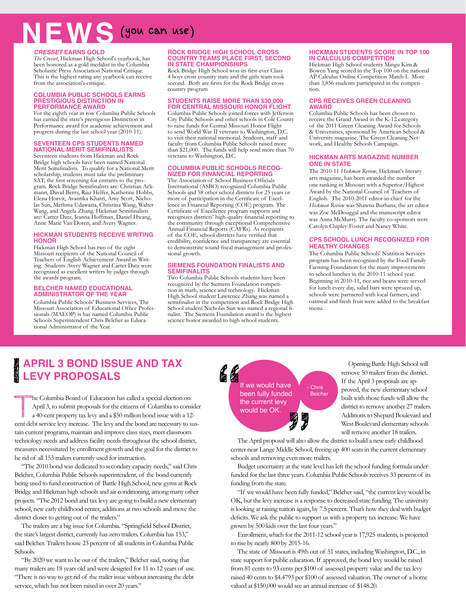# (you can use) **NEWS**

#### *Cresset* **earns gold**

*The Cresset*, Hickman High School's yearbook, has been honored as a gold medalist in the Columbia Scholastic Press Association National Critique. This is the highest rating any yearbook can receive from the association's critique.

#### **Columbia Public Schools earns PRESTIGIOUS DISTINCTION IN Performance Award**

For the eighth year in row Columbia Public Schools has earned the state's prestigious Distinction in Performance award for academic achievement and progress during the last school year (2010-11).

#### **SEVENTEEN CPS STUDENTS NAMED NATIONAL MERIT SEMIFINALISTS**

Seventeen students from Hickman and Rock Bridge high schools have been named National Merit Semifinalists. To qualify for a National Merit scholarship, students must take the preliminary SAT, the first screening for entrants to the program. Rock Bridge Semifinalists are: Christian Ackmann, David Berry, Riaz Helfer, Katherine Hobbs, Elena Horvit, Avantika Khatri, Amy Scott, Nicholas Sun, Methma Udawatta, Christina Wang, Walter Wang, and Angela Zhang. Hickman Semifinalists are: Carter Datz, Jeanna Hoffman, Daniel Hwang, Anne Marie Van Doren, and Avery Wagner.

#### **Hickman Students Receive Writing Honor**

Hickman High School has two of the eight Missouri recipients of the National Council of Teachers of English Achievement Award in Writing. Students Avery Wagner and Carter Datz were recognized as excellent writers by judges through the awards program.

#### **Belcher Named Educational Administrator of the Year**

Columbia Public Schools' Business Services, The Missouri Association of Educational Office Professionals (MAEOP) is has named Columbia Public Schools Superintendent Chris Belcher as Educational Administrator of the Year.

#### **ROCK BRIDGE HIGH SCHOOL CROSS COUNTRY TEAMS PLACE FIRST, SECOND IN STATE CHAMPIONSHIPS**

Rock Bridge High School won its first-ever Class 4 boys cross country state and the girls team took second. Both are firsts for the Rock Bridge cross country program

#### **Students raise more than \$30,000 for Central Missouri Honor Flight**

Columbia Public Schools joined forces with Jefferson City Public Schools and other schools in Cole County to raise funds for Central Missouri Honor Flight to send World War II veterans to Washington, D.C. to visit their national memorial. Students, staff and faculty from Columbia Public Schools raised more than \$21,000. The funds will help send more than 70 veterans to Washington, D.C.

#### **Columbia Public Schools recognized for financial reporting**

The Association of School Business Officials International (ASBO) recognized Columbia Public Schools and 58 other school districts for 25 years or more of participation in the Certificate of Excellence in Financial Reporting (COE) program. The Certificate of Excellence program supports and recognizes districts' high-quality financial reporting to the community through exceptional Comprehensive Annual Financial Reports (CAFRs). As recipients of the COE, school districts have verified that credibility, confidence and transparency are essential to demonstrate sound fiscal management and professional growth.

#### **Siemens Foundation finalists and semifinalits**

Two Columbia Public Schools students have been recognized by the Siemens Foundation competition in math, science and technology. Hickman High School student Lawrence Zhang was named a semifinalist in the competition and Rock Bridge High School student Nicholas Sun was named a regional finalist. The Siemens Foundation award is the highest science honor awarded to high school students.

#### **Hickman students score in top 100 IN CALCULUS COMPETITION**

Hickman High School students Mingu Kim & Bowen Yang scored in the Top 100 on the national AP Calculus Online Competition Match I. More than 3,856 students participated in the competition.

#### **CPS receives green cleaning award**

Columbia Public Schools has been chosen to receive the Grand Award in the K-12 category of the 2011 Green Cleaning Award for Schools & Universities, sponsored by American School & University magazine, The Green Cleaning Network, and Healthy Schools Campaign.

#### **Hickman arts magazine number one in state**

The 2010-11 *Hickman Review*, Hickman's literary arts magazine, has been awarded the number one ranking in Missouri with a Superior/Highest Award by the National Council of Teachers of English. The 2010-2011 editor-in-chief for the *Hickman Review* was Shawna Burhans, the art editor was Zoe McDouggal and the manuscript editor was Anna McMurry. The faculty co-sponsors were Carolyn Chipley-Foster and Nancy White.

#### **CPS school lunch recognized for healthy changes**

The Columbia Public Schools' Nutrition Services program has been recognized by the Food Family Farming Foundation for the many improvements to school lunches in the 2010-11 school year. Beginning in 2010-11, rice and beans were served for lunch every day, salad bars were spruced up, schools were partnered with local farmers, and oatmeal and fresh fruit were added to the breakfast menu.

## **April 3 Bond Issue and Tax Levy ProposalS**

The Columbia Board of Education has called a special election on April 3, to submit proposals for the citizens of Columbia to consider a 40-cent property tax levy and a \$50 million bond issue with a 12-April 3, to submit proposals for the citizens of Columbia to consider cent debt service levy increase. The levy and the bond are necessary to sustain current programs, maintain and improve class sizes, meet classroom technology needs and address facility needs throughout the school district, measures necessitated by enrollment growth and the goal for the district to be rid of all 153 trailers currently used for instruction.

"The 2010 bond was dedicated to secondary capacity needs," said Chris Belcher, Columbia Public Schools superintendent, of the bond currently being used to fund construction of Battle High School, new gyms at Rock Bridge and Hickman high schools and air conditioning, among many other projects. "The 2012 bond and tax levy are going to build a new elementary school, new early childhood center, additions at two schools and move the district closer to getting out of the trailers."

The trailers are a big issue for Columbia. "Springfield School District, the state's largest district, currently has zero trailers. Columbia has 153," said Belcher. Trailers house 23 percent of all students in Columbia Public Schools.

"By 2020 we want to be out of the trailers," Belcher said, noting that many trailers are 18 years old and were designed for 11 to 12 years of use. "There is no way to get rid of the trailer issue without increasing the debt service, which has not been raised in over 20 years."

66 If we would have **Chris** been fully funded Belcherthe current levy would be OK.

Opening Battle High School will remove 50 trailers from the district. If the April 3 proposals are approved, the new elementary school built with those funds will allow the district to remove another 27 trailers. Additions to Shepard Boulevard and West Boulevard elementary schools will remove another 18 trailers.

The April proposal will also allow the district to build a new early childhood center near Lange Middle School, freeing up 400 seats in the current elementary schools and removing even more trailers.

Budget uncertainty at the state level has left the school funding formula underfunded for the last three years. Columbia Public Schools receives 33 percent of its funding from the state.

"If we would have been fully funded," Belcher said, "the current levy would be OK, but the levy increase is a response to decreased state funding. The university is looking at raising tuition again, by 7.5 percent. That's how they deal with budget deficits. We ask the public to support us with a property tax increase. We have grown by 500 kids over the last four years."

Enrollment, which for the 2011-12 school year is 17,925 students, is projected to rise by nearly 800 by 2015-16.

The state of Missouri is 49th out of 51 states, including Washington, D.C., in state support for public education. If approved, the bond levy would be raised from 81 cents to 93 cents per \$100 of assessed property value and the tax levy raised 40 cents to \$4.4793 per \$100 of assessed valuation. The owner of a home valued at \$150,000 would see an annual increase of \$148.20.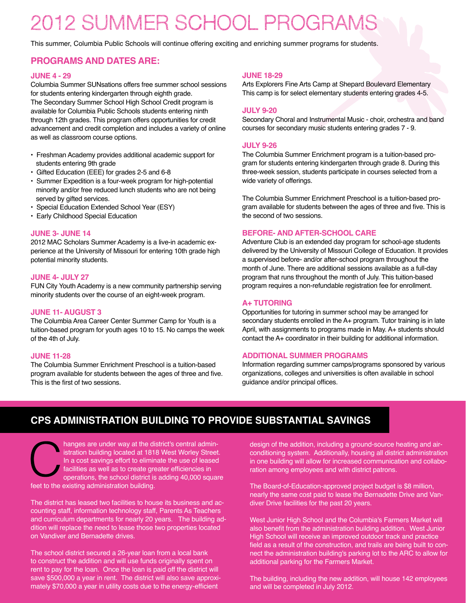# 2012 SUMMER SCHOOL PROGRAMS

This summer, Columbia Public Schools will continue offering exciting and enriching summer programs for students.

#### **Programs and dates are:**

#### **JUNE 4 - 29**

Columbia Summer SUNsations offers free summer school sessions for students entering kindergarten through eighth grade. The Secondary Summer School High School Credit program is available for Columbia Public Schools students entering ninth through 12th grades. This program offers opportunities for credit advancement and credit completion and includes a variety of online as well as classroom course options.

- Freshman Academy provides additional academic support for students entering 9th grade
- Gifted Education (EEE) for grades 2-5 and 6-8
- Summer Expedition is a four-week program for high-potential minority and/or free reduced lunch students who are not being served by gifted services.
- Special Education Extended School Year (ESY)
- Early Childhood Special Education

#### **JUNE 3- JUNE 14**

2012 MAC Scholars Summer Academy is a live-in academic experience at the University of Missouri for entering 10th grade high potential minority students.

#### **JUNE 4- JULY 27**

FUN City Youth Academy is a new community partnership serving minority students over the course of an eight-week program.

#### **JUNE 11- AUGUST 3**

The Columbia Area Career Center Summer Camp for Youth is a tuition-based program for youth ages 10 to 15. No camps the week of the 4th of July.

#### **JUNE 11-28**

The Columbia Summer Enrichment Preschool is a tuition-based program available for students between the ages of three and five. This is the first of two sessions.

#### **JUNE 18-29**

Arts Explorers Fine Arts Camp at Shepard Boulevard Elementary This camp is for select elementary students entering grades 4-5.

#### **JULY 9-20**

Secondary Choral and Instrumental Music - choir, orchestra and band courses for secondary music students entering grades 7 - 9.

#### **JULY 9-26**

The Columbia Summer Enrichment program is a tuition-based program for students entering kindergarten through grade 8. During this three-week session, students participate in courses selected from a wide variety of offerings.

The Columbia Summer Enrichment Preschool is a tuition-based program available for students between the ages of three and five. This is the second of two sessions.

#### **BEFORE- AND AFTER-SCHOOL CARE**

Adventure Club is an extended day program for school-age students delivered by the University of Missouri College of Education. It provides a supervised before- and/or after-school program throughout the month of June. There are additional sessions available as a full-day program that runs throughout the month of July. This tuition-based program requires a non-refundable registration fee for enrollment.

#### **A+ TUTORING**

Opportunities for tutoring in summer school may be arranged for secondary students enrolled in the A+ program. Tutor training is in late April, with assignments to programs made in May. A+ students should contact the A+ coordinator in their building for additional information.

#### **ADDITIONAL SUMMER PROGRAMS**

Information regarding summer camps/programs sponsored by various organizations, colleges and universities is often available in school guidance and/or principal offices.

## **CPS ADMINISTRATION BUILDING TO PROVIDE SUBSTANTIAL SAVINGS**

hanges are under way at the district's central administration building located at 1818 West Worley Street. In a cost savings effort to eliminate the use of leased facilities as well as to create greater efficiencies in operations, the school district is adding 40,000 square

feet to the existing administration building.

The district has leased two facilities to house its business and accounting staff, information technology staff, Parents As Teachers and curriculum departments for nearly 20 years. The building addition will replace the need to lease those two properties located on Vandiver and Bernadette drives.

The school district secured a 26-year loan from a local bank to construct the addition and will use funds originally spent on rent to pay for the loan. Once the loan is paid off the district will save \$500,000 a year in rent. The district will also save approximately \$70,000 a year in utility costs due to the energy-efficient

design of the addition, including a ground-source heating and airconditioning system. Additionally, housing all district administration in one building will allow for increased communication and collaboration among employees and with district patrons.

The Board-of-Education-approved project budget is \$8 million, nearly the same cost paid to lease the Bernadette Drive and Vandiver Drive facilities for the past 20 years.

West Junior High School and the Columbia's Farmers Market will also benefit from the administration building addition. West Junior High School will receive an improved outdoor track and practice field as a result of the construction, and trails are being built to connect the administration building's parking lot to the ARC to allow for additional parking for the Farmers Market.

The building, including the new addition, will house 142 employees and will be completed in July 2012.